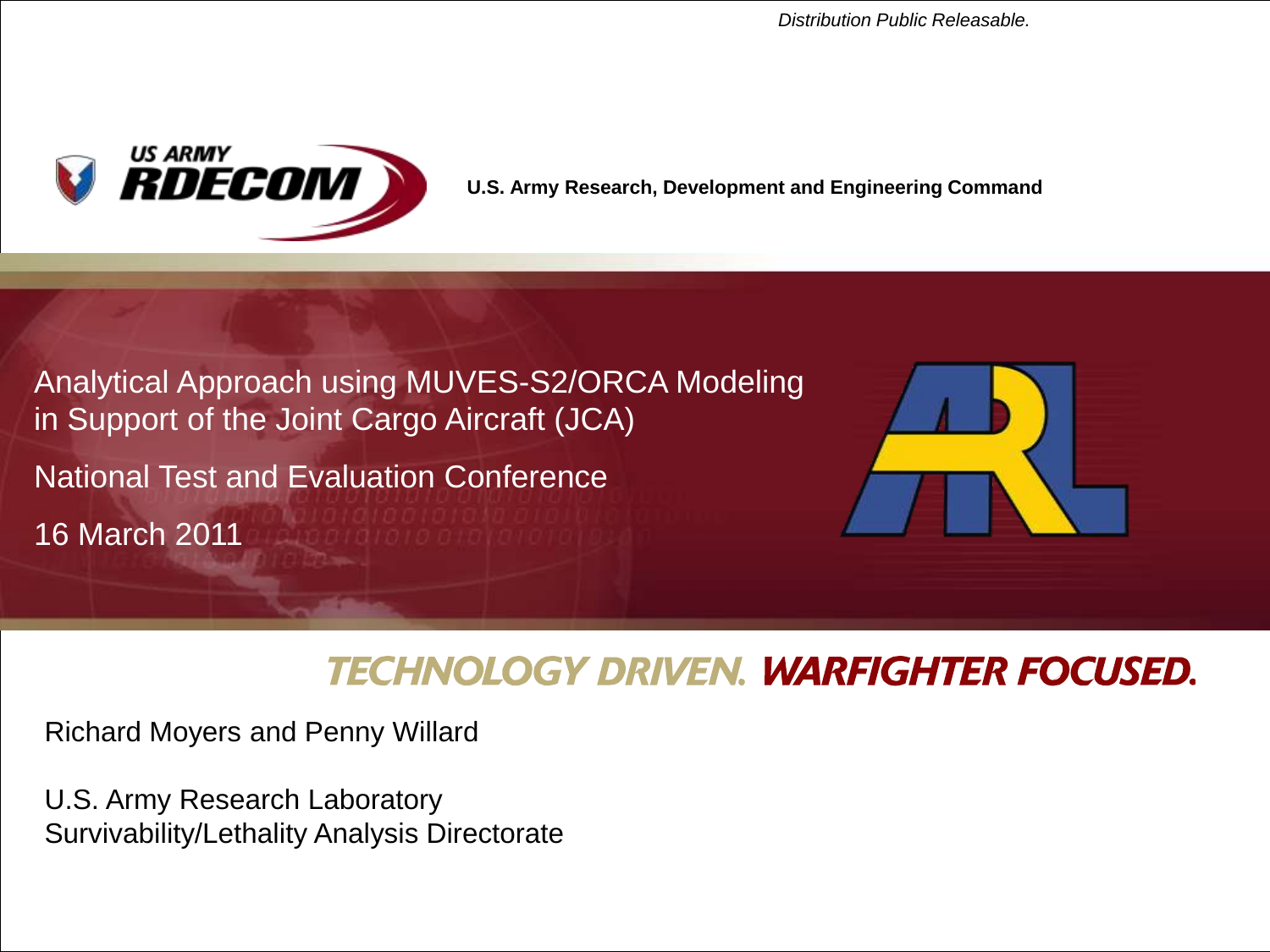*Distribution Public Releasable.* 



**U.S. Army Research, Development and Engineering Command**

Analytical Approach using MUVES-S2/ORCA Modeling in Support of the Joint Cargo Aircraft (JCA)

National Test and Evaluation Conference

16 March 2011



#### **TECHNOLOGY DRIVEN. WARFIGHTER FOCUSED.**

Richard Moyers and Penny Willard

U.S. Army Research Laboratory Survivability/Lethality Analysis Directorate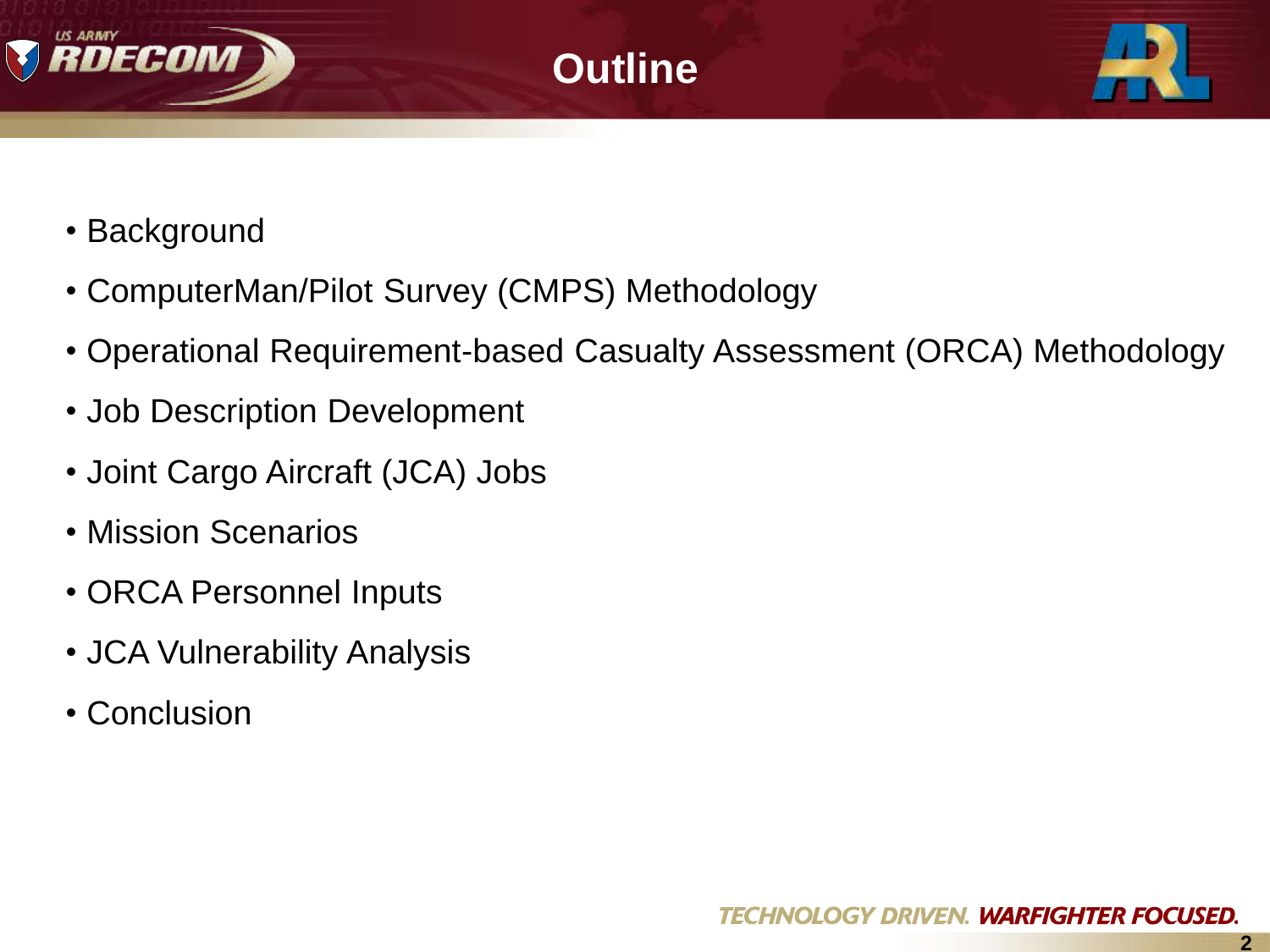





- Background
- ComputerMan/Pilot Survey (CMPS) Methodology
- Operational Requirement-based Casualty Assessment (ORCA) Methodology
- Job Description Development
- Joint Cargo Aircraft (JCA) Jobs
- Mission Scenarios
- ORCA Personnel Inputs
- JCA Vulnerability Analysis
- Conclusion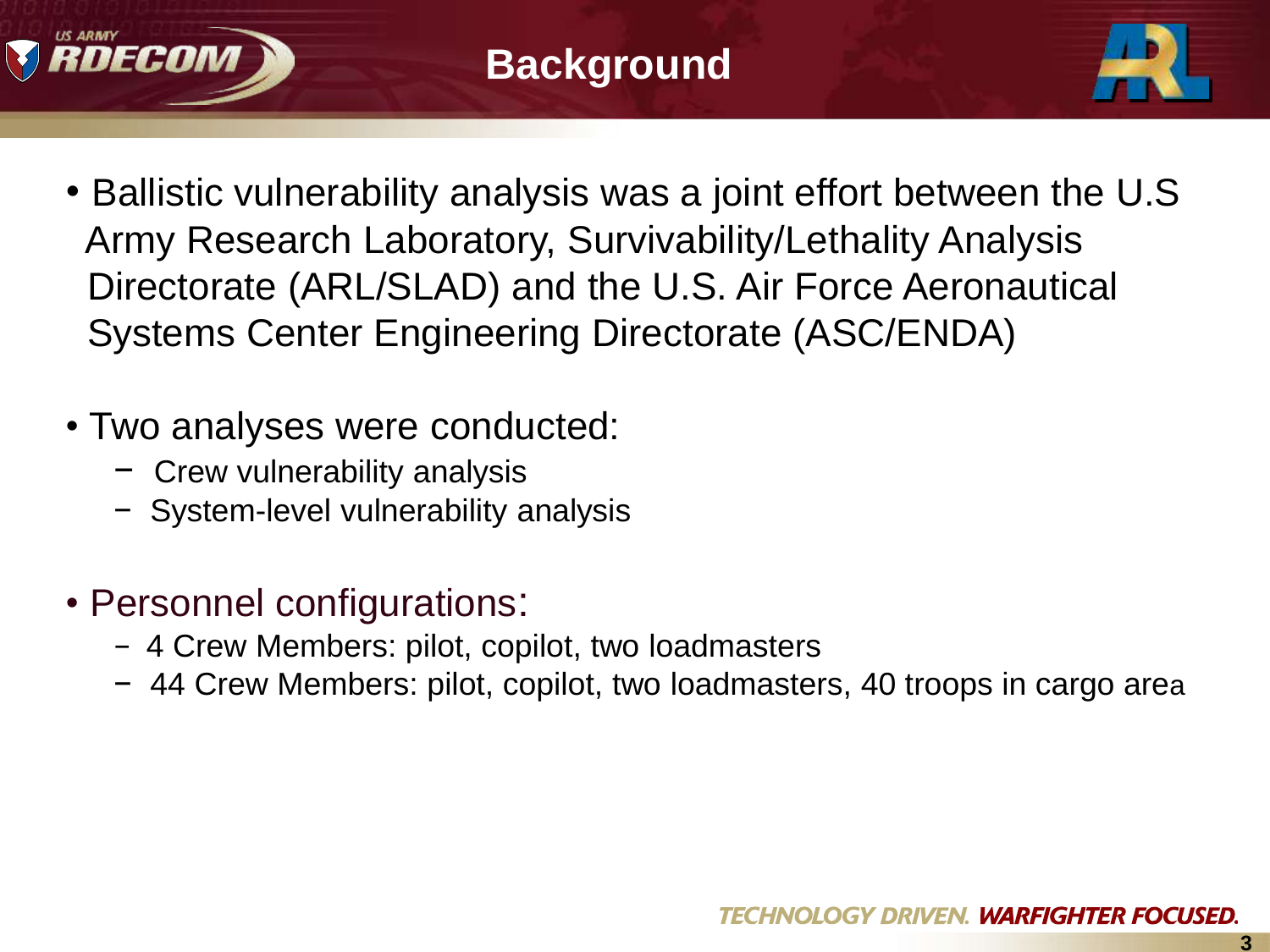



- Ballistic vulnerability analysis was a joint effort between the U.S Army Research Laboratory, Survivability/Lethality Analysis Directorate (ARL/SLAD) and the U.S. Air Force Aeronautical Systems Center Engineering Directorate (ASC/ENDA)
- Two analyses were conducted:
	- − Crew vulnerability analysis
	- − System-level vulnerability analysis
- Personnel configurations:
	- − 4 Crew Members: pilot, copilot, two loadmasters
	- − 44 Crew Members: pilot, copilot, two loadmasters, 40 troops in cargo area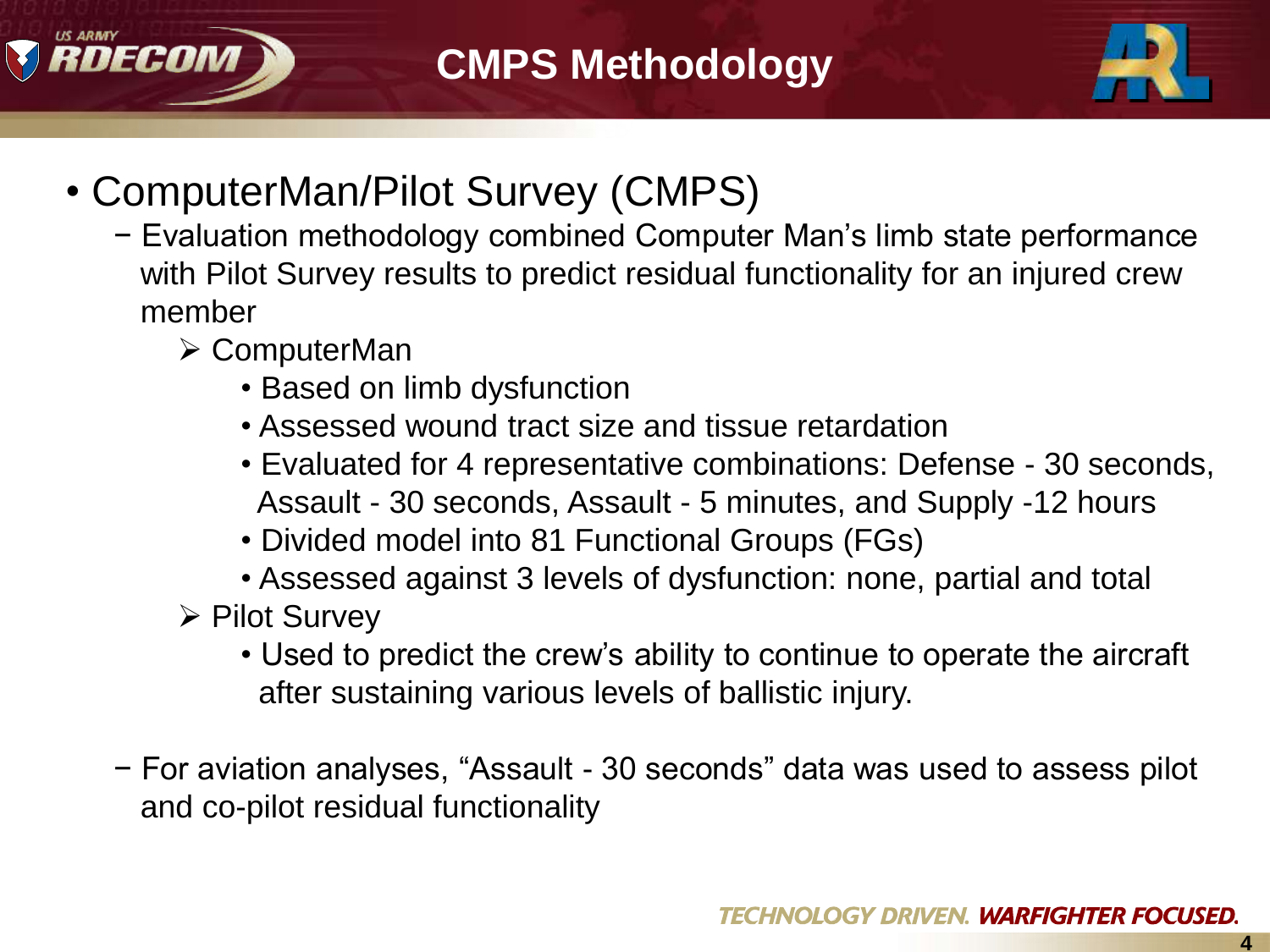



- ComputerMan/Pilot Survey (CMPS)
	- − Evaluation methodology combined Computer Man"s limb state performance with Pilot Survey results to predict residual functionality for an injured crew member
		- ComputerMan
			- Based on limb dysfunction
			- Assessed wound tract size and tissue retardation
			- Evaluated for 4 representative combinations: Defense 30 seconds, Assault - 30 seconds, Assault - 5 minutes, and Supply -12 hours
			- Divided model into 81 Functional Groups (FGs)
			- Assessed against 3 levels of dysfunction: none, partial and total
		- $\triangleright$  Pilot Survey
			- Used to predict the crew"s ability to continue to operate the aircraft after sustaining various levels of ballistic injury.
	- − For aviation analyses, "Assault 30 seconds" data was used to assess pilot and co-pilot residual functionality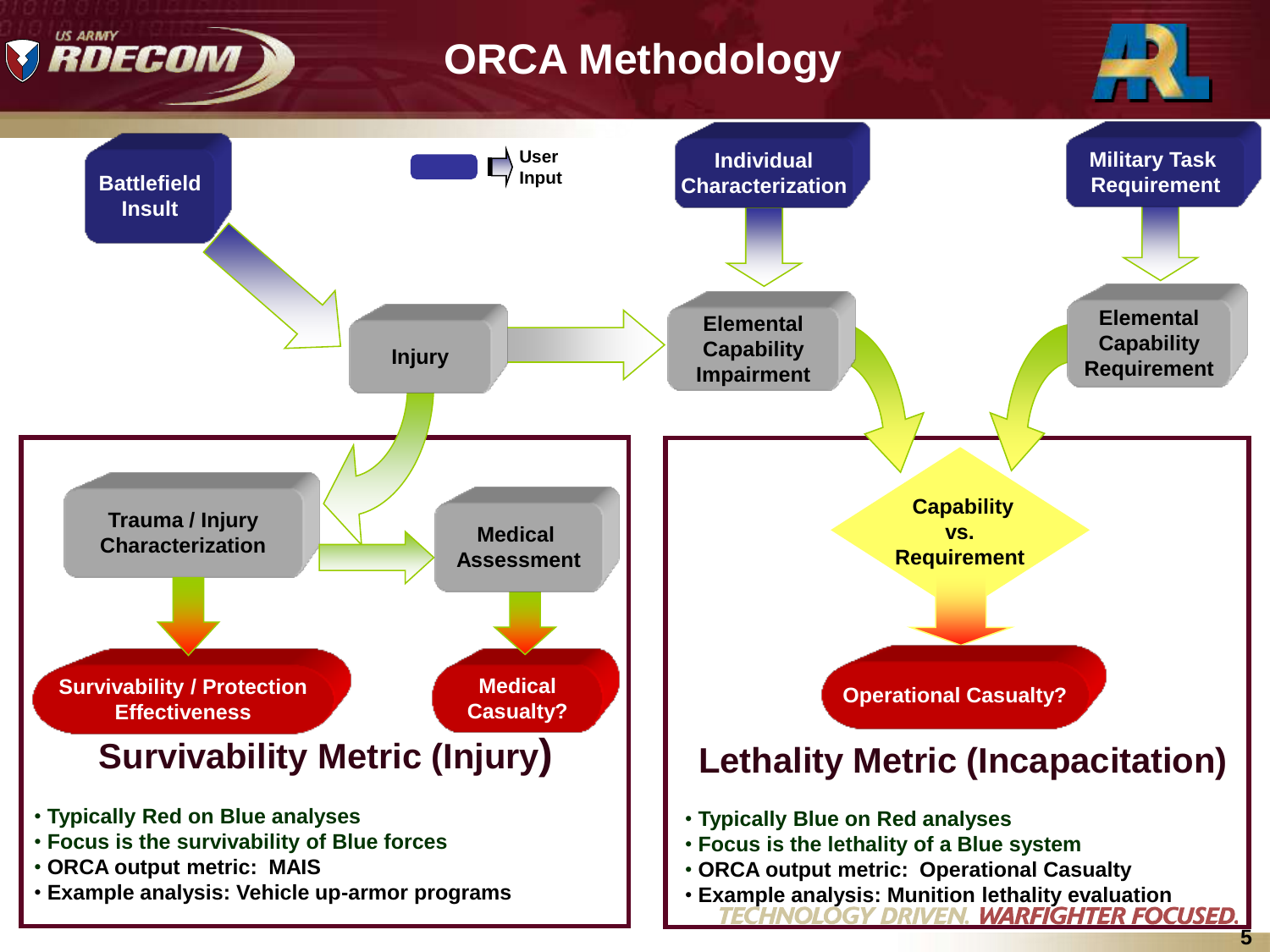# **ORCA Methodology**

RDECOM



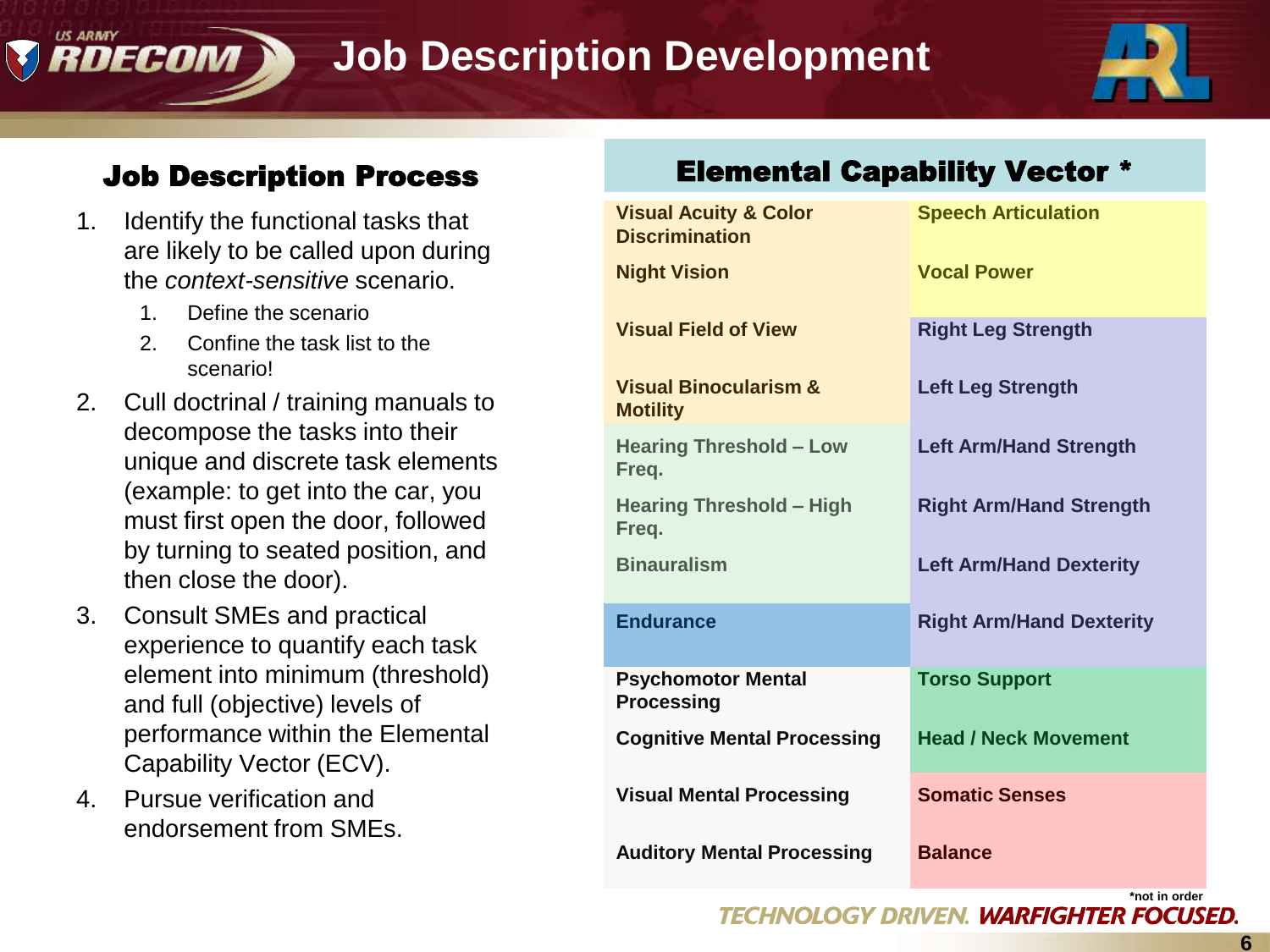# **Job Description Development**



#### Job Description Process

- 1. Identify the functional tasks that are likely to be called upon during the *context-sensitive* scenario.
	- 1. Define the scenario

DECOM

- 2. Confine the task list to the scenario!
- 2. Cull doctrinal / training manuals to decompose the tasks into their unique and discrete task elements (example: to get into the car, you must first open the door, followed by turning to seated position, and then close the door).
- 3. Consult SMEs and practical experience to quantify each task element into minimum (threshold) and full (objective) levels of performance within the Elemental Capability Vector (ECV).
- 4. Pursue verification and endorsement from SMEs.

#### Elemental Capability Vector \*

| <b>Visual Acuity &amp; Color</b><br><b>Discrimination</b> | <b>Speech Articulation</b>      |
|-----------------------------------------------------------|---------------------------------|
| <b>Night Vision</b>                                       | <b>Vocal Power</b>              |
| <b>Visual Field of View</b>                               | <b>Right Leg Strength</b>       |
| <b>Visual Binocularism &amp;</b><br><b>Motility</b>       | <b>Left Leg Strength</b>        |
| <b>Hearing Threshold - Low</b><br>Freq.                   | <b>Left Arm/Hand Strength</b>   |
| <b>Hearing Threshold - High</b><br>Freq.                  | <b>Right Arm/Hand Strength</b>  |
| <b>Binauralism</b>                                        | <b>Left Arm/Hand Dexterity</b>  |
| <b>Endurance</b>                                          | <b>Right Arm/Hand Dexterity</b> |
| <b>Psychomotor Mental</b><br><b>Processing</b>            | <b>Torso Support</b>            |
| <b>Cognitive Mental Processing</b>                        | <b>Head / Neck Movement</b>     |
| <b>Visual Mental Processing</b>                           | <b>Somatic Senses</b>           |
| <b>Auditory Mental Processing</b>                         | <b>Balance</b>                  |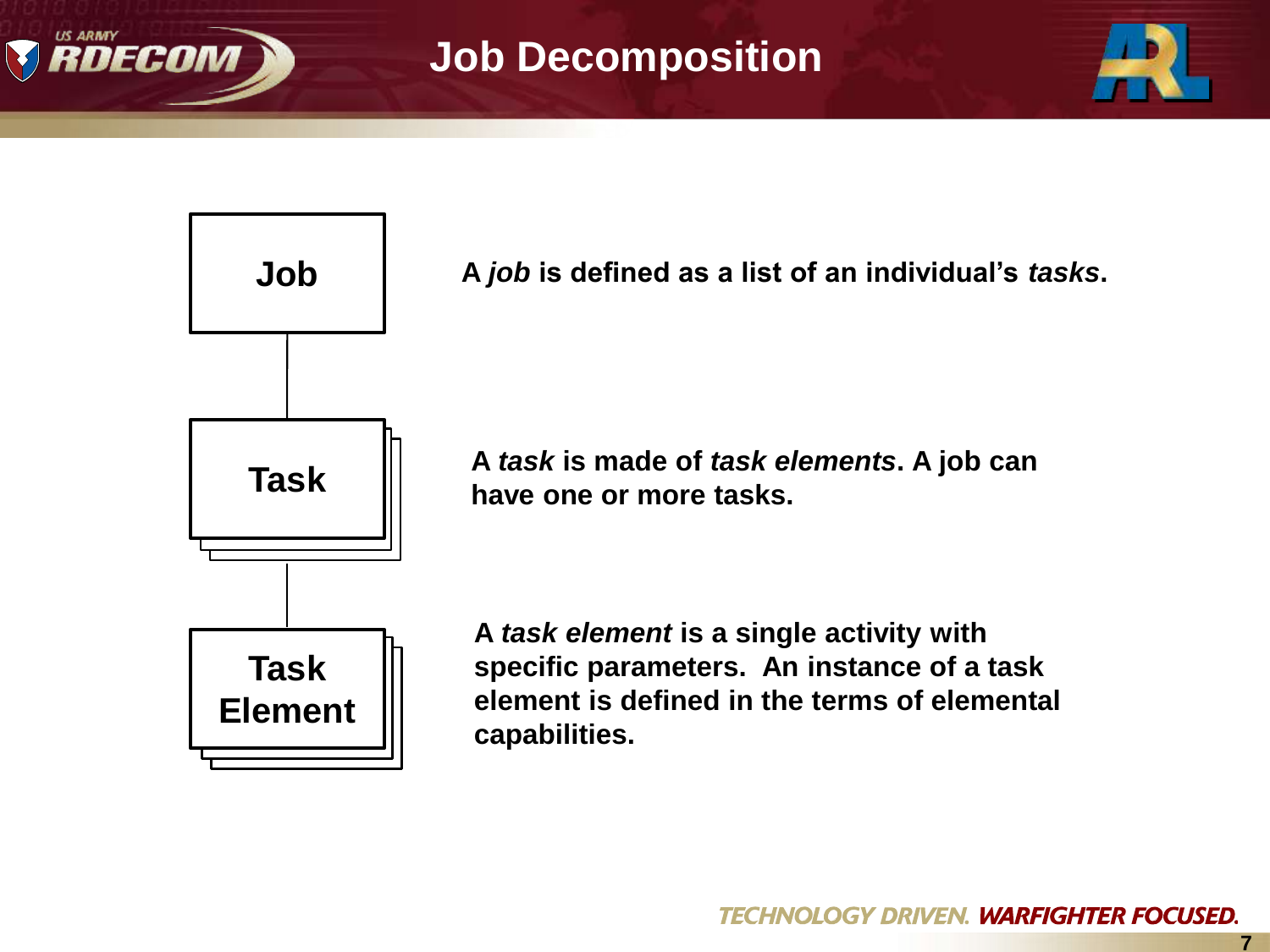

## **Job Decomposition**





**A** *job* **is defined as a list of an individual's** *tasks***.**

**A** *task* **is made of** *task elements***. A job can have one or more tasks.**

**7**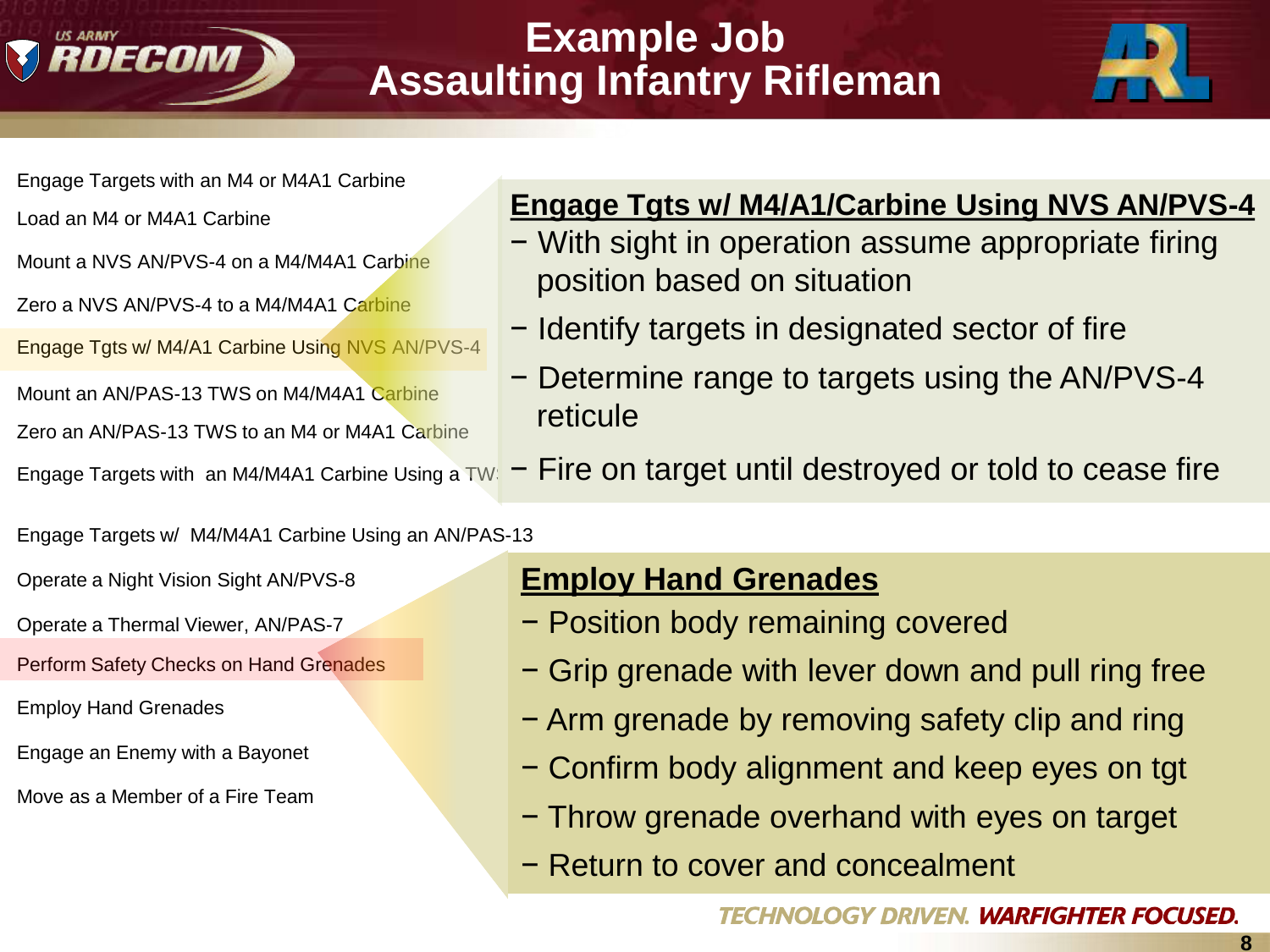

## **Example Job Assaulting Infantry Rifleman**



- Engage Targets with an M4 or M4A1 Carbine
- 
- Mount a NVS AN/PVS-4 on a M4/M4A1 Carbine
- Zero a NVS AN/PVS-4 to a M4/M4A1 Carbine
- Engage Tgts w/ M4/A1 Carbine Using NVS AN/PVS-4
- Mount an AN/PAS-13 TWS on M4/M4A1 Carbine Zero an AN/PAS-13 TWS to an M4 or M4A1 Carbine
- 

Engage Targets w/ M4/M4A1 Carbine Using an AN/PAS-13

- 
- 
- Perform Safety Checks on Hand Grenades
- 
- Engage an Enemy with a Bayonet
- Move as a Member of a Fire Team

#### Load an M4 or M4A1 Carbine **Move of Annual Engage Tgts w/ M4/A1/Carbine Using NVS AN/PVS-4**

- − With sight in operation assume appropriate firing position based on situation
- − Identify targets in designated sector of fire
- − Determine range to targets using the AN/PVS-4 reticule
- Engage Targets with an M4/M4A1 Carbine Using a TW $\overline{\phantom{a}}$  Fire on target until destroyed or told to cease fire

#### Operate a Night Vision Sight AN/PVS-8 **Perform Noise, Litter Discipline Discipline Discipline Perform Noise, And Litter Discipline Perform Noise, 2014**

- Operate a Thermal Viewer, AN/PAS-7 **Operate Anight Vision Vision Vision Vision Vision Vision Vision Vision Vision Vision Vision Vision Vision Vision Vision Vision Vision Vision Vision Vision Vision Vision Vision Vision Vi** 
	- − Grip grenade with lever down and pull ring free
- Employ Hand Grenades Transport a Casualty Clip and ring<br>Transport a Casualty Clip and ring and ring a Casualty Clip and ring
	- − Confirm body alignment and keep eyes on tgt
	- − Throw grenade overhand with eyes on target
	- − Return to cover and concealment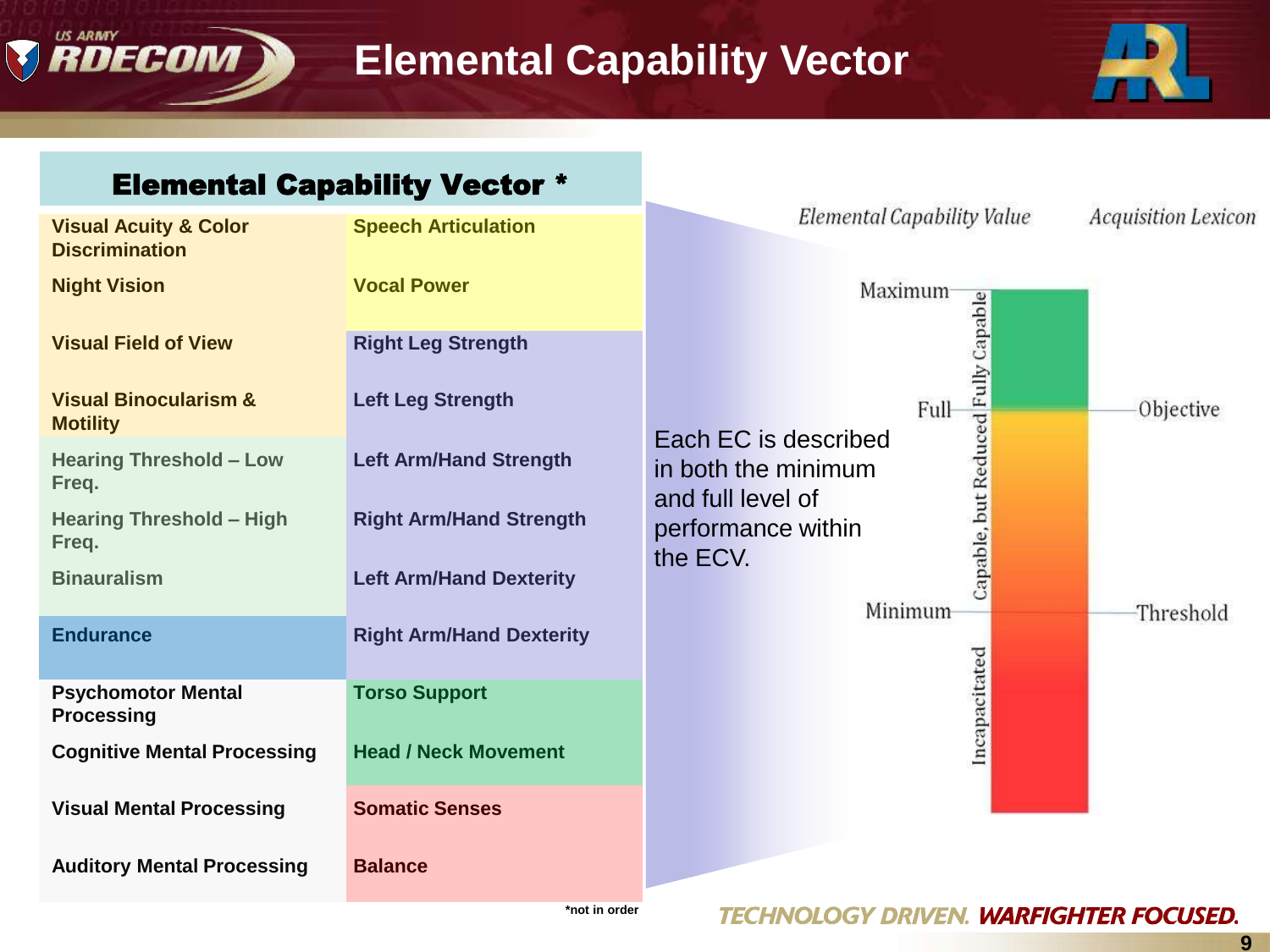

#### **Elemental Capability Vector**



#### Elemental Capability Vector \*

| <b>Visual Acuity &amp; Color</b><br><b>Discrimination</b> | <b>Speech Articulation</b>      |                                                                                                        |                    | Elemental Capability Value |  | <i>Acquisition Lexicon</i> |
|-----------------------------------------------------------|---------------------------------|--------------------------------------------------------------------------------------------------------|--------------------|----------------------------|--|----------------------------|
| <b>Night Vision</b>                                       | <b>Vocal Power</b>              |                                                                                                        |                    | Maximum                    |  |                            |
| <b>Visual Field of View</b>                               | <b>Right Leg Strength</b>       |                                                                                                        |                    |                            |  |                            |
| <b>Visual Binocularism &amp;</b><br><b>Motility</b>       | <b>Left Leg Strength</b>        |                                                                                                        |                    | Full                       |  | Objective                  |
| <b>Hearing Threshold - Low</b><br>Freq.                   | <b>Left Arm/Hand Strength</b>   | Capable, but Reduced Fully Capable<br>Each EC is described<br>in both the minimum<br>and full level of |                    |                            |  |                            |
| <b>Hearing Threshold - High</b><br>Freq.                  | <b>Right Arm/Hand Strength</b>  | the ECV.                                                                                               | performance within |                            |  |                            |
| <b>Binauralism</b>                                        | <b>Left Arm/Hand Dexterity</b>  |                                                                                                        |                    | Minimum                    |  | Threshold                  |
| <b>Endurance</b>                                          | <b>Right Arm/Hand Dexterity</b> |                                                                                                        |                    |                            |  |                            |
| <b>Psychomotor Mental</b><br><b>Processing</b>            | <b>Torso Support</b>            |                                                                                                        |                    | Incapacitated              |  |                            |
| <b>Cognitive Mental Processing</b>                        | <b>Head / Neck Movement</b>     |                                                                                                        |                    |                            |  |                            |
| <b>Visual Mental Processing</b>                           | <b>Somatic Senses</b>           |                                                                                                        |                    |                            |  |                            |
| <b>Auditory Mental Processing</b>                         | <b>Balance</b>                  |                                                                                                        |                    |                            |  |                            |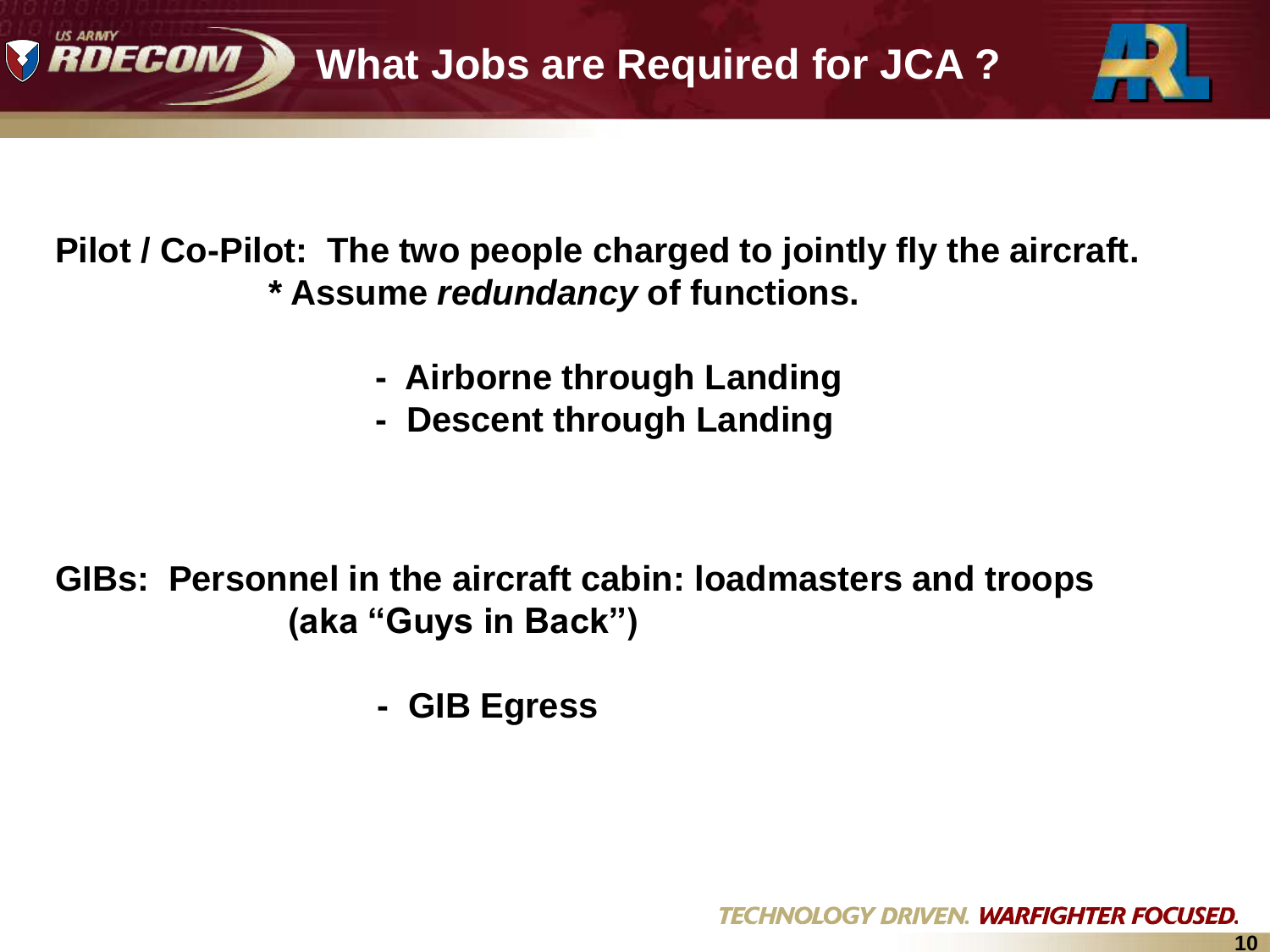

**Pilot / Co-Pilot: The two people charged to jointly fly the aircraft. \* Assume** *redundancy* **of functions.**

- **Airborne through Landing**
- **Descent through Landing**

**GIBs: Personnel in the aircraft cabin: loadmasters and troops (aka "Guys in Back")**

 **- GIB Egress**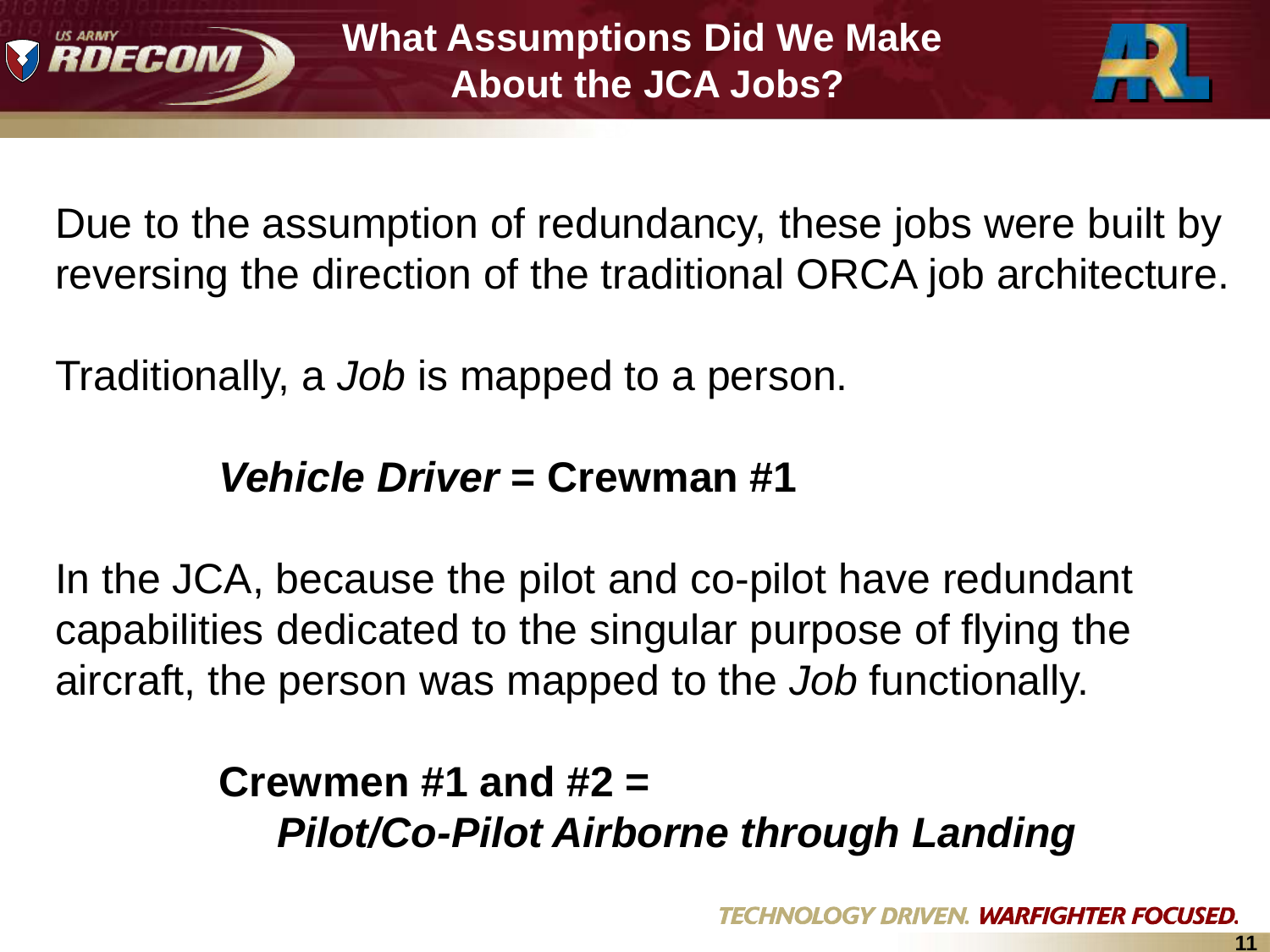



Due to the assumption of redundancy, these jobs were built by reversing the direction of the traditional ORCA job architecture.

Traditionally, a *Job* is mapped to a person.

## *Vehicle Driver* **= Crewman #1**

In the JCA, because the pilot and co-pilot have redundant capabilities dedicated to the singular purpose of flying the aircraft, the person was mapped to the *Job* functionally.

# **Crewmen #1 and #2 =**   *Pilot/Co-Pilot Airborne through Landing*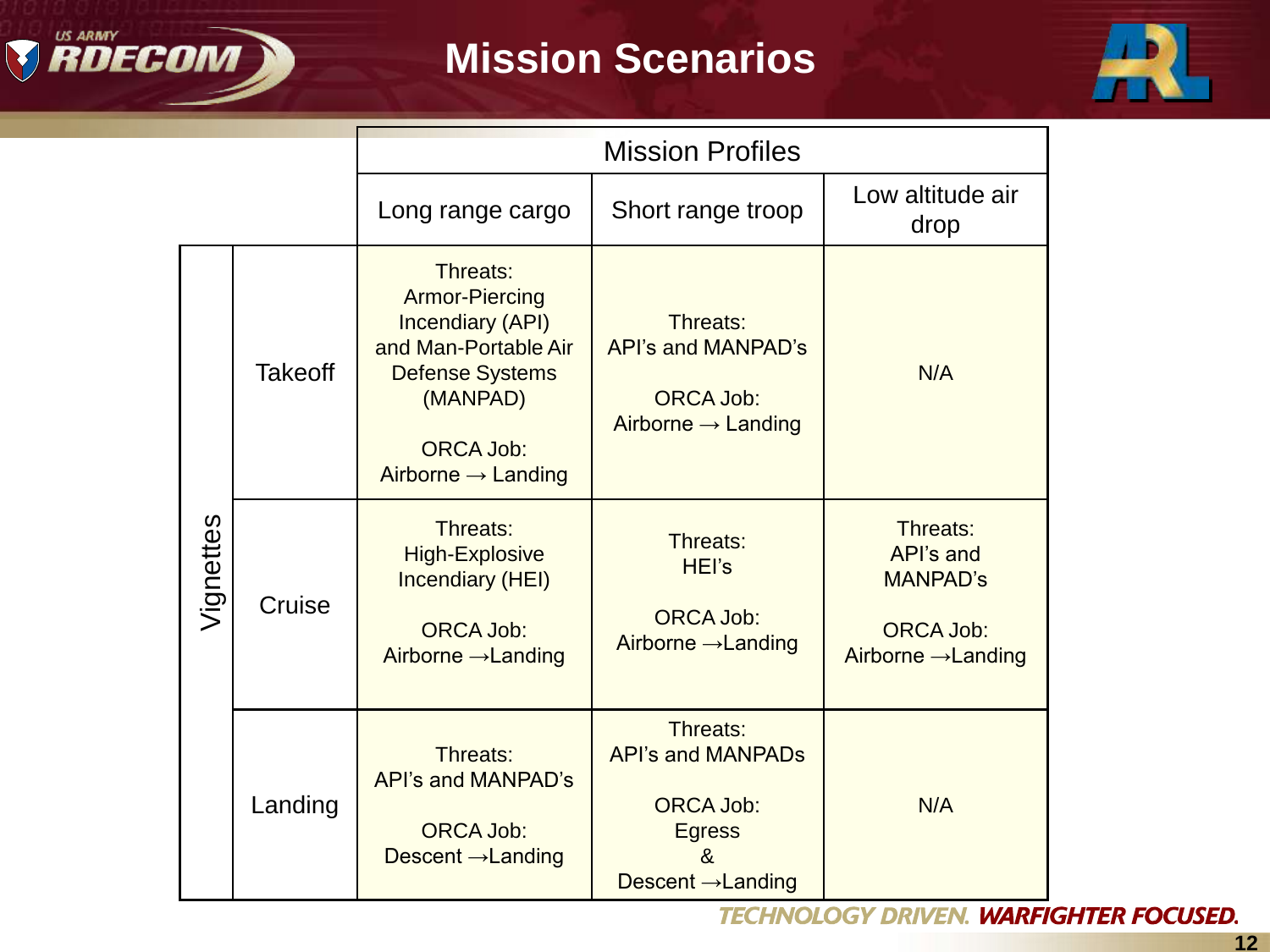

# **Mission Scenarios**



|           |                | <b>Mission Profiles</b>                                                                                                                                                          |                                                                                                                  |                                                                                                |
|-----------|----------------|----------------------------------------------------------------------------------------------------------------------------------------------------------------------------------|------------------------------------------------------------------------------------------------------------------|------------------------------------------------------------------------------------------------|
|           |                | Long range cargo                                                                                                                                                                 | Short range troop                                                                                                | Low altitude air<br>drop                                                                       |
| Vignettes | <b>Takeoff</b> | Threats:<br><b>Armor-Piercing</b><br><b>Incendiary (API)</b><br>and Man-Portable Air<br><b>Defense Systems</b><br>(MANPAD)<br><b>ORCA Job:</b><br>Airborne $\rightarrow$ Landing | Threats:<br>API's and MANPAD's<br><b>ORCA Job:</b><br>Airborne $\rightarrow$ Landing                             | N/A                                                                                            |
|           | Cruise         | Threats:<br><b>High-Explosive</b><br><b>Incendiary (HEI)</b><br><b>ORCA Job:</b><br>Airborne $\rightarrow$ Landing                                                               | Threats:<br>HEI's<br><b>ORCA Job:</b><br>Airborne → Landing                                                      | Threats:<br>API's and<br><b>MANPAD's</b><br><b>ORCA Job:</b><br>Airborne $\rightarrow$ Landing |
|           | Landing        | Threats:<br>API's and MANPAD's<br><b>ORCA Job:</b><br>Descent $\rightarrow$ Landing                                                                                              | Threats:<br><b>API's and MANPADS</b><br><b>ORCA Job:</b><br><b>Egress</b><br>x,<br>Descent $\rightarrow$ Landing | N/A                                                                                            |

**TECHNOLOGY DRIVEN. WARFIGHTER FOCUSED.**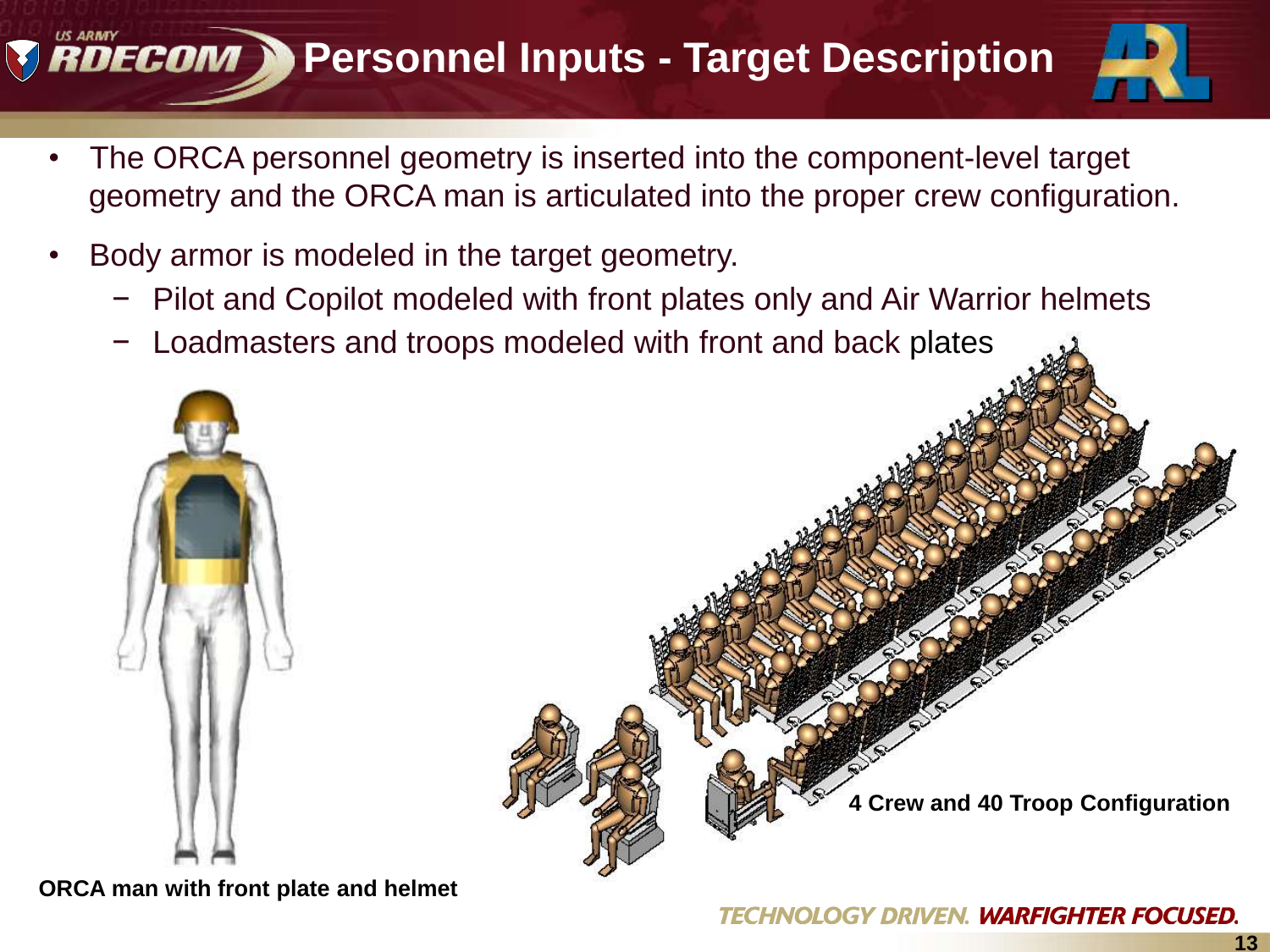# **RDECOM > Personnel Inputs - Target Description**



- The ORCA personnel geometry is inserted into the component-level target geometry and the ORCA man is articulated into the proper crew configuration.
- Body armor is modeled in the target geometry.
	- − Pilot and Copilot modeled with front plates only and Air Warrior helmets
	- Loadmasters and troops modeled with front and back plates



**ORCA man with front plate and helmet**



**4 Crew and 40 Troop Configuration**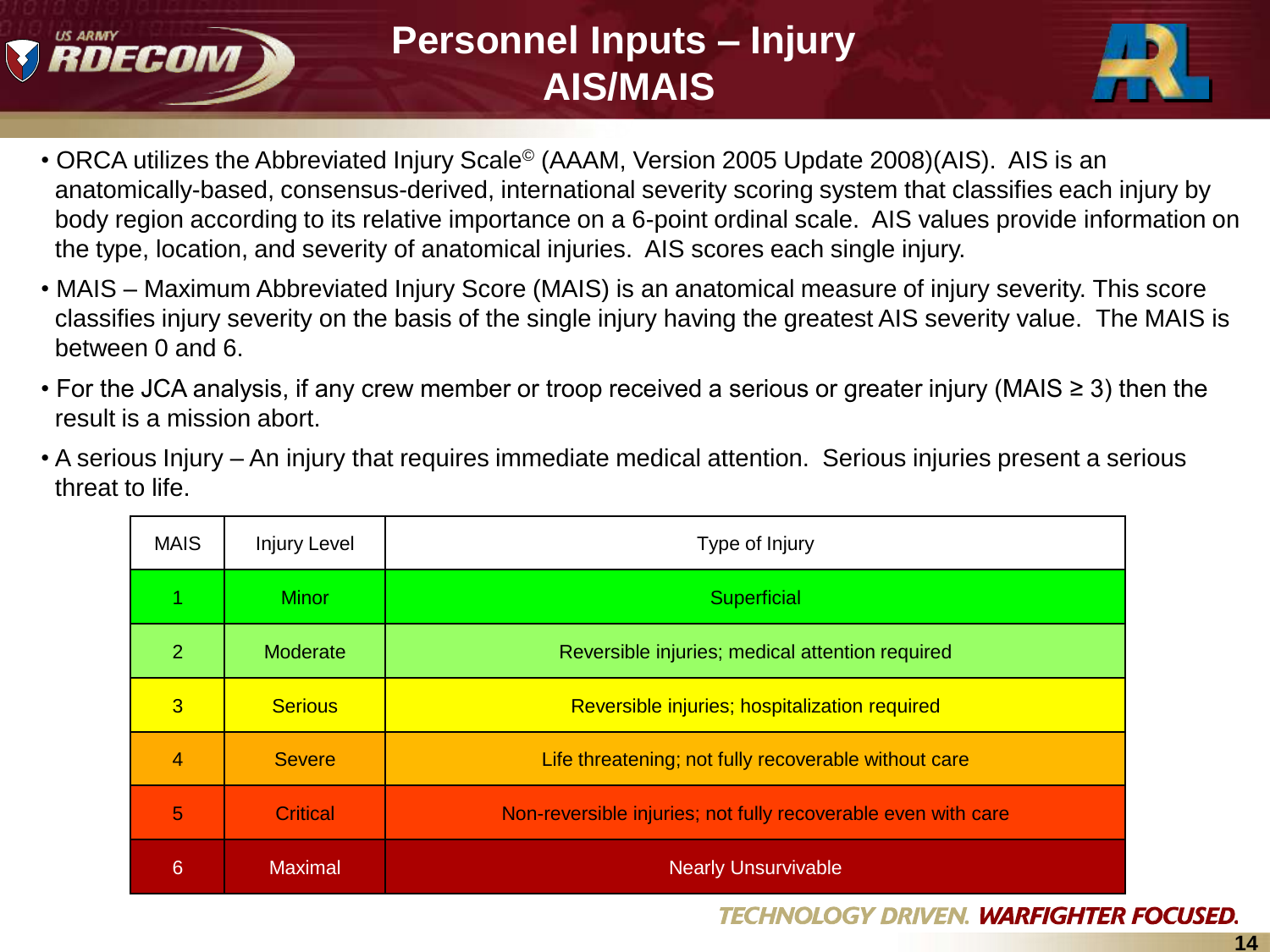

#### **Personnel Inputs – Injury AIS/MAIS**



- ORCA utilizes the Abbreviated Injury Scale<sup>©</sup> (AAAM, Version 2005 Update 2008)(AIS). AIS is an anatomically-based, consensus-derived, international severity scoring system that classifies each injury by body region according to its relative importance on a 6-point ordinal scale. AIS values provide information on the type, location, and severity of anatomical injuries. AIS scores each single injury.
- MAIS Maximum Abbreviated Injury Score (MAIS) is an anatomical measure of injury severity. This score classifies injury severity on the basis of the single injury having the greatest AIS severity value. The MAIS is between 0 and 6.
- For the JCA analysis, if any crew member or troop received a serious or greater injury (MAIS ≥ 3) then the result is a mission abort.
- A serious Injury An injury that requires immediate medical attention. Serious injuries present a serious threat to life.

| <b>MAIS</b>    | Injury Level    | Type of Injury                                                |
|----------------|-----------------|---------------------------------------------------------------|
|                | <b>Minor</b>    | Superficial                                                   |
| $\overline{2}$ | Moderate        | Reversible injuries; medical attention required               |
| $\overline{3}$ | <b>Serious</b>  | Reversible injuries; hospitalization required                 |
| 4              | <b>Severe</b>   | Life threatening; not fully recoverable without care          |
| 5              | <b>Critical</b> | Non-reversible injuries; not fully recoverable even with care |
| 6              | <b>Maximal</b>  | <b>Nearly Unsurvivable</b>                                    |

#### **TECHNOLOGY DRIVEN. WARFIGHTER FOCUSED.**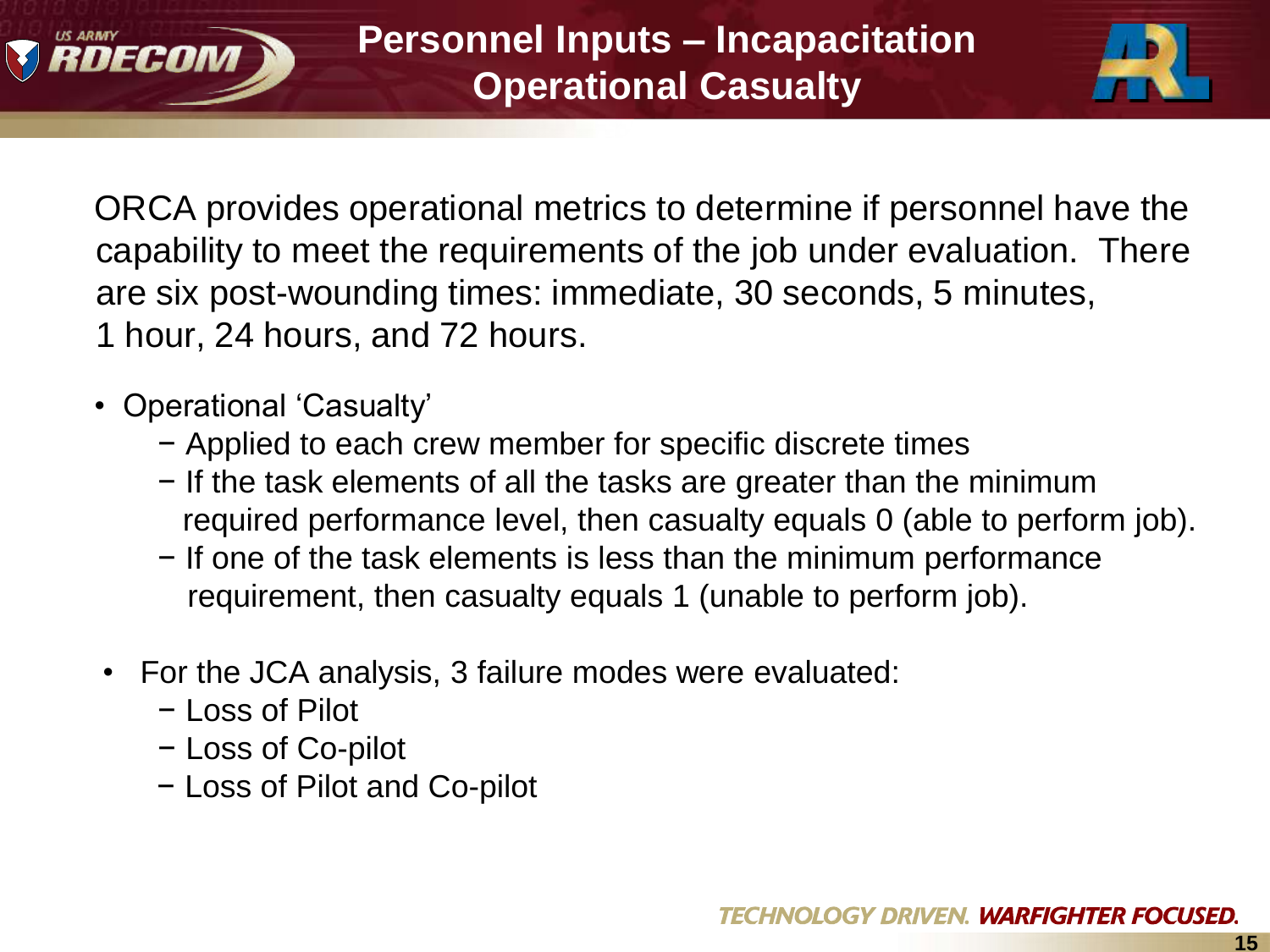



ORCA provides operational metrics to determine if personnel have the capability to meet the requirements of the job under evaluation. There are six post-wounding times: immediate, 30 seconds, 5 minutes, 1 hour, 24 hours, and 72 hours.

- Operational 'Casualty'
	- − Applied to each crew member for specific discrete times
	- − If the task elements of all the tasks are greater than the minimum required performance level, then casualty equals 0 (able to perform job).
	- − If one of the task elements is less than the minimum performance requirement, then casualty equals 1 (unable to perform job).
- For the JCA analysis, 3 failure modes were evaluated:
	- − Loss of Pilot
	- − Loss of Co-pilot
	- − Loss of Pilot and Co-pilot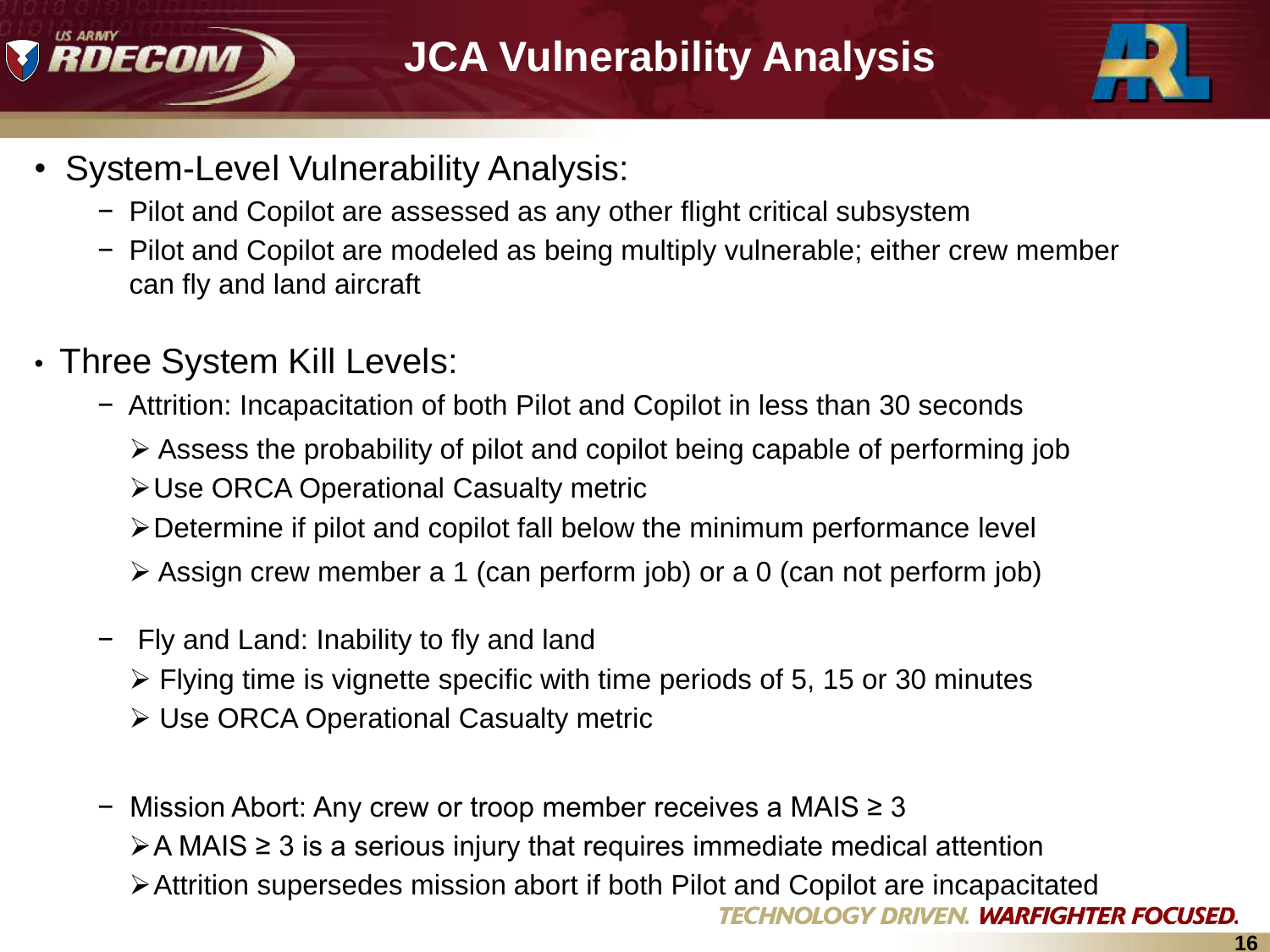



- System-Level Vulnerability Analysis:
	- − Pilot and Copilot are assessed as any other flight critical subsystem
	- − Pilot and Copilot are modeled as being multiply vulnerable; either crew member can fly and land aircraft
- Three System Kill Levels:
	- − Attrition: Incapacitation of both Pilot and Copilot in less than 30 seconds
		- $\triangleright$  Assess the probability of pilot and copilot being capable of performing job
		- Use ORCA Operational Casualty metric
		- Determine if pilot and copilot fall below the minimum performance level
		- $\triangleright$  Assign crew member a 1 (can perform job) or a 0 (can not perform job)
	- − Fly and Land: Inability to fly and land
		- $\triangleright$  Flying time is vignette specific with time periods of 5, 15 or 30 minutes
		- Use ORCA Operational Casualty metric
	- − Mission Abort: Any crew or troop member receives a MAIS ≥ 3  $\triangleright$  A MAIS  $\geq$  3 is a serious injury that requires immediate medical attention Attrition supersedes mission abort if both Pilot and Copilot are incapacitated **WARFIGHTER FOCUSED.**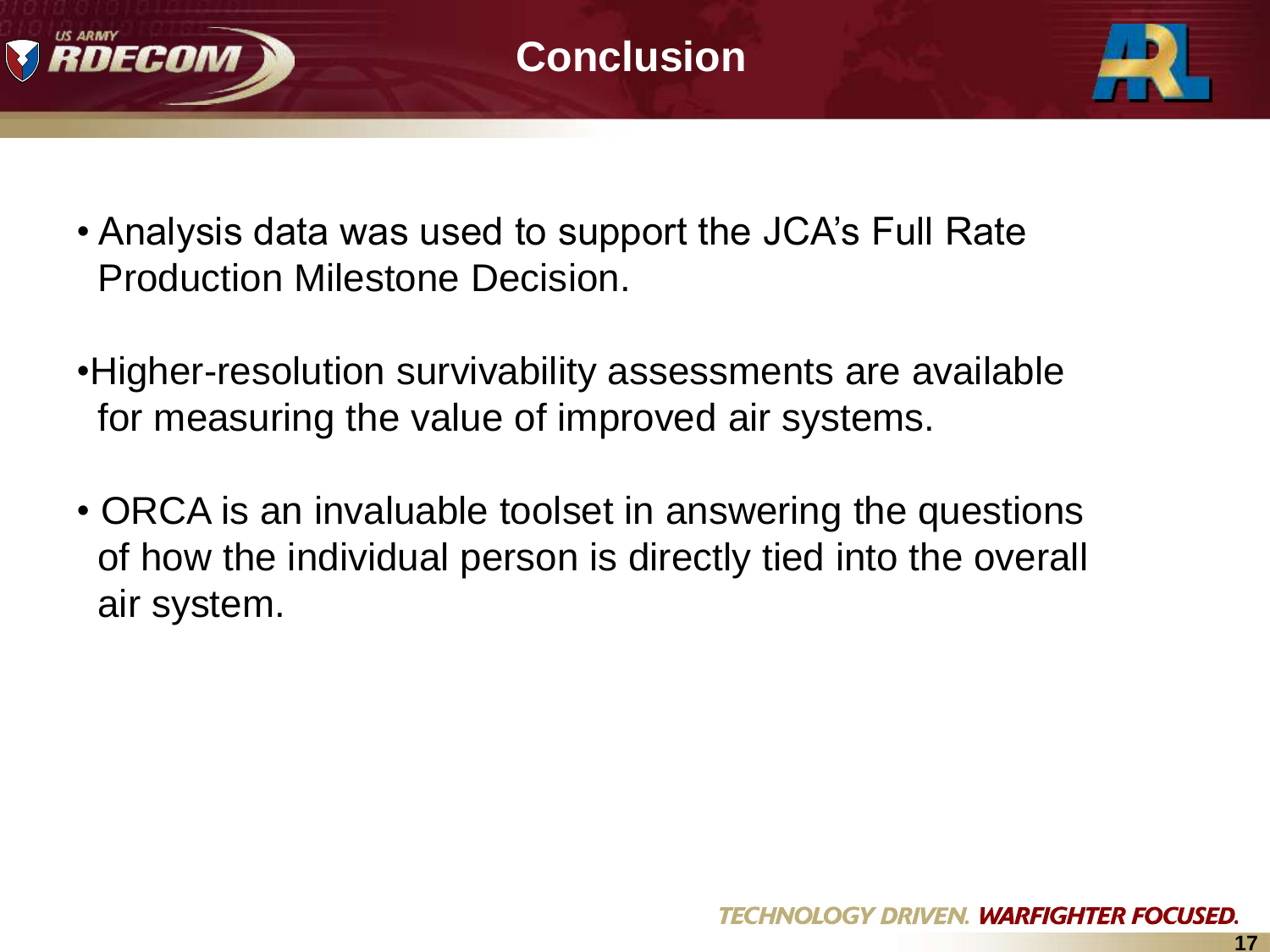



- Analysis data was used to support the JCA"s Full Rate Production Milestone Decision.
- •Higher-resolution survivability assessments are available for measuring the value of improved air systems.
- ORCA is an invaluable toolset in answering the questions of how the individual person is directly tied into the overall air system.